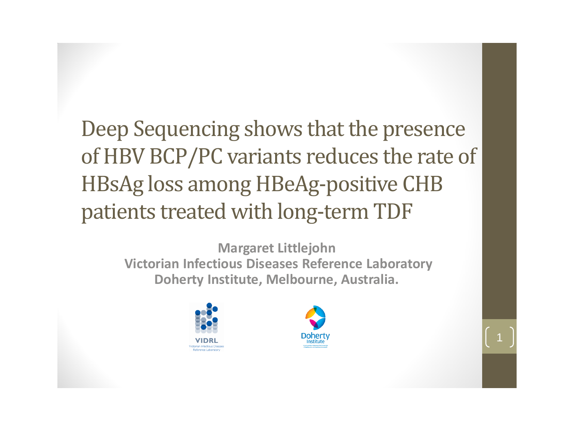Deep Sequencing shows that the presence of HBV BCP/PC variants reduces the rate of HBsAg loss among HBeAg-positive CHB patients treated with long-term TDF

> **Margaret Littlejohn Victorian Infectious Diseases Reference Laboratory Doherty Institute, Melbourne, Australia.**



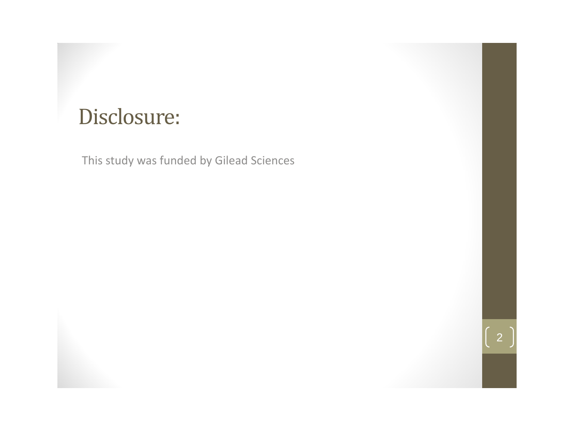### Disclosure:

This study was funded by Gilead Sciences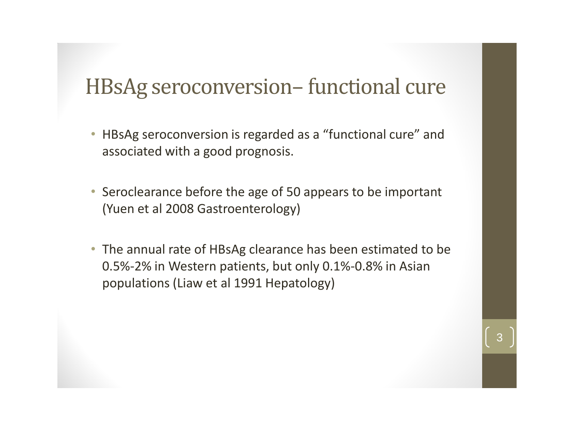### HBsAg seroconversion– functional cure

- HBsAg seroconversion is regarded as a "functional cure" and associated with a good prognosis.
- Seroclearance before the age of 50 appears to be important (Yuen et al 2008 Gastroenterology)
- The annual rate of HBsAg clearance has been estimated to be 0.5%-2% in Western patients, but only 0.1%-0.8% in Asian populations (Liaw et al 1991 Hepatology)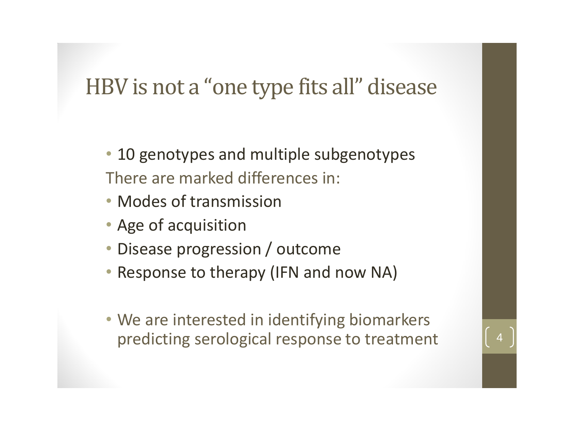## HBV is not a "one type fits all" disease

- 10 genotypes and multiple subgenotypes There are marked differences in:
- Modes of transmission
- Age of acquisition
- Disease progression / outcome
- Response to therapy (IFN and now NA)
- We are interested in identifying biomarkers predicting serological response to treatment <sup>4</sup>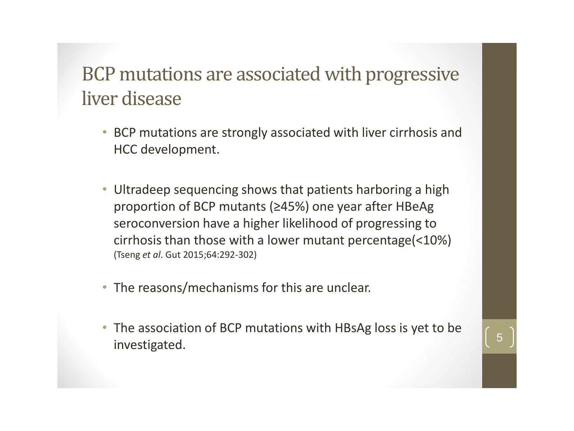### BCP mutations are associated with progressive liver disease

- BCP mutations are strongly associated with liver cirrhosis and HCC development.
- Ultradeep sequencing shows that patients harboring a high proportion of BCP mutants (≥45%) one year after HBeAg seroconversion have a higher likelihood of progressing to cirrhosis than those with a lower mutant percentage(<10%) (Tseng *et al*. Gut 2015;64:292-302)
- The reasons/mechanisms for this are unclear.
- The association of BCP mutations with HBsAg loss is yet to be investigated.  $\begin{bmatrix} 5 \end{bmatrix}$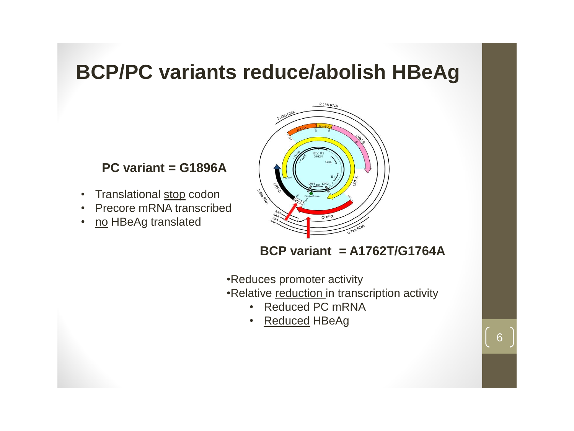#### **BCP/PC variants reduce/abolish HBeAg**

#### **PC variant = G1896A**

- Translational stop codon
- Precore mRNA transcribed
- no HBeAg translated



**BCP variant = A1762T/G1764A**

•Reduces promoter activity

•Relative reduction in transcription activity

- Reduced PC mRNA
- Reduced HBeAg

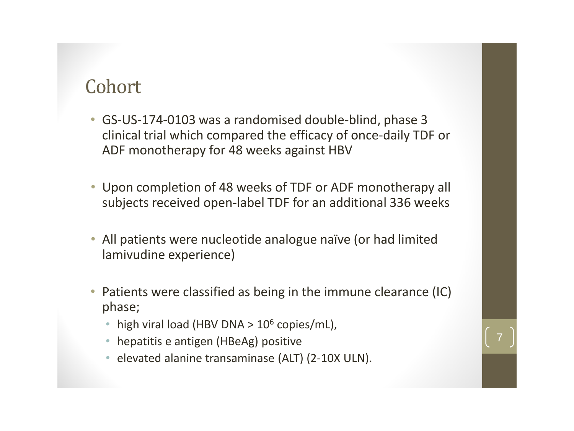#### Cohort

- GS-US-174-0103 was a randomised double-blind, phase 3 clinical trial which compared the efficacy of once-daily TDF or ADF monotherapy for 48 weeks against HBV
- Upon completion of 48 weeks of TDF or ADF monotherapy all subjects received open-label TDF for an additional 336 weeks
- All patients were nucleotide analogue naïve (or had limited lamivudine experience)
- Patients were classified as being in the immune clearance (IC) phase;
	- high viral load (HBV DNA  $> 10^6$  copies/mL),
	- hepatitis e antigen (HBeAg) positive
	- elevated alanine transaminase (ALT) (2-10X ULN).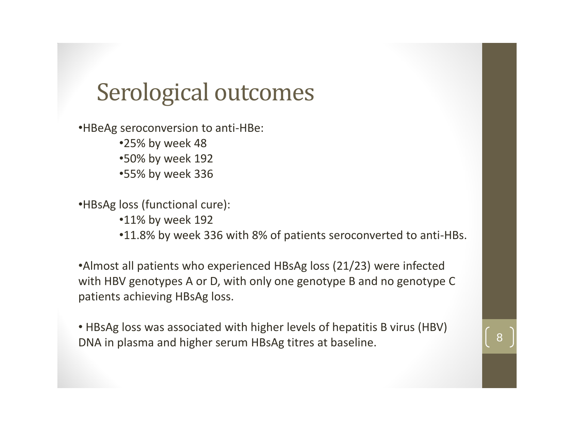## Serological outcomes

•HBeAg seroconversion to anti-HBe:

•25% by week 48 •50% by week 192 •55% by week 336

•HBsAg loss (functional cure): •11% by week 192 •11.8% by week 336 with 8% of patients seroconverted to anti-HBs.

•Almost all patients who experienced HBsAg loss (21/23) were infected with HBV genotypes A or D, with only one genotype B and no genotype C patients achieving HBsAg loss.

• HBsAg loss was associated with higher levels of hepatitis B virus (HBV) DNA in plasma and higher serum HBsAg titres at baseline.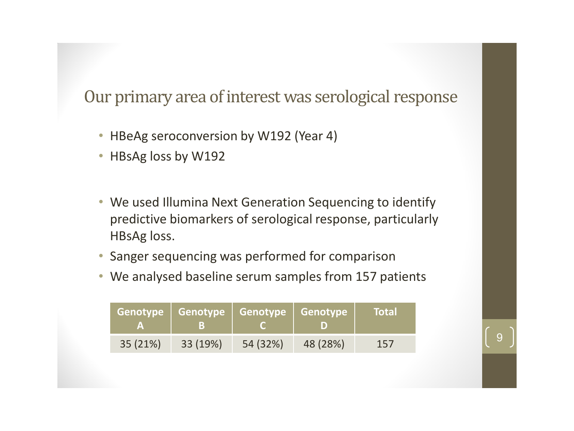#### Our primary area of interest was serological response

- HBeAg seroconversion by W192 (Year 4)
- HBsAg loss by W192
- We used Illumina Next Generation Sequencing to identify predictive biomarkers of serological response, particularly HBsAg loss.
- Sanger sequencing was performed for comparison
- We analysed baseline serum samples from 157 patients

|          | 73 N     |          |          | <b>Total</b> |
|----------|----------|----------|----------|--------------|
| 35 (21%) | 33 (19%) | 54 (32%) | 48 (28%) | 157          |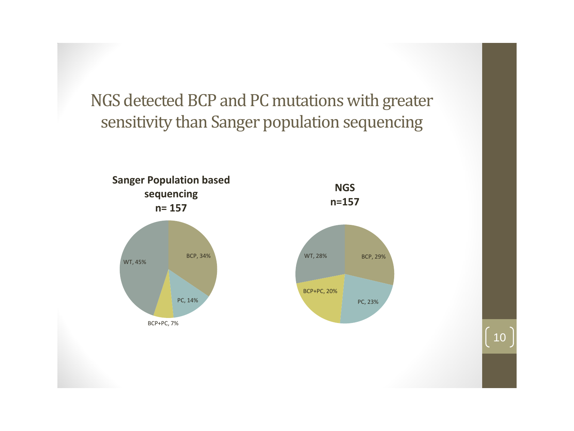NGS detected BCP and PC mutations with greater sensitivity than Sanger population sequencing

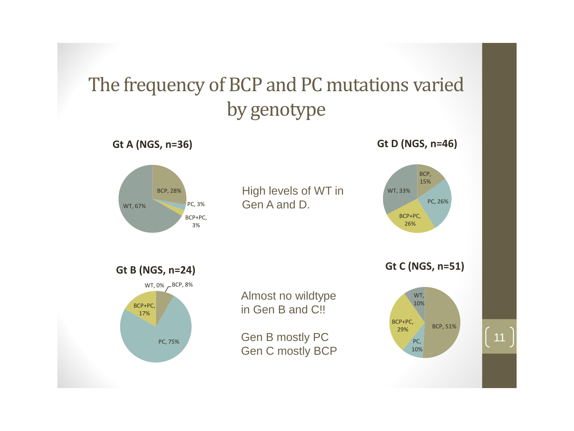### The frequency of BCP and PC mutations varied by genotype

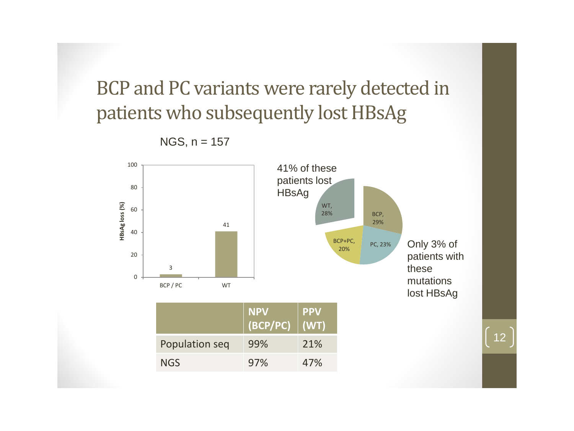BCP and PC variants were rarely detected in patients who subsequently lost HBsAg



12

 $NGS$ ,  $n = 157$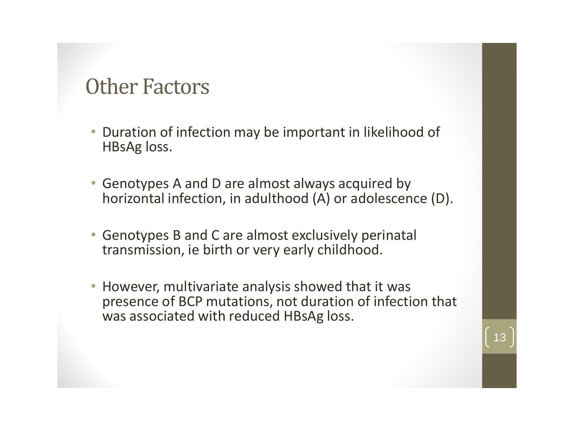### Other Factors

- Duration of infection may be important in likelihood of HBsAg loss.
- Genotypes A and D are almost always acquired by horizontal infection, in adulthood (A) or adolescence (D).
- Genotypes B and C are almost exclusively perinatal transmission, ie birth or very early childhood.
- However, multivariate analysis showed that it was presence of BCP mutations, not duration of infection that was associated with reduced HBsAg loss.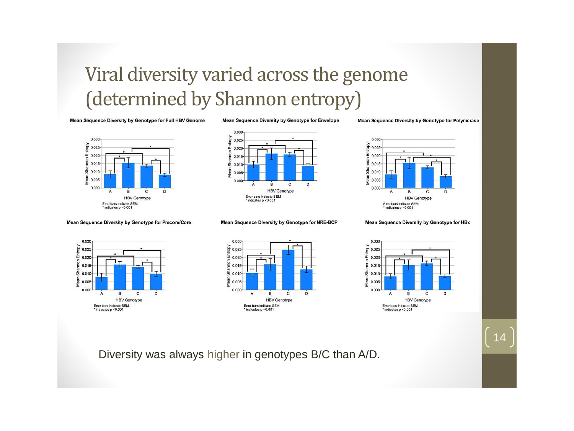### Viral diversity varied across the genome (determined by Shannon entropy)

Mean Sequence Diversity by Genotype for Full HBV Genome

Mean Sequence Diversity by Genotype for Envelope

Mean Sequence Diversity by Genotype for Polymerase



Mean Sequence Diversity by Genotype for Precore/Core



Mean Sequence Diversity by Genotype for NRE-BCP



Mean Sequence Diversity by Genotype for HBx







14

Diversity was always higher in genotypes B/C than A/D.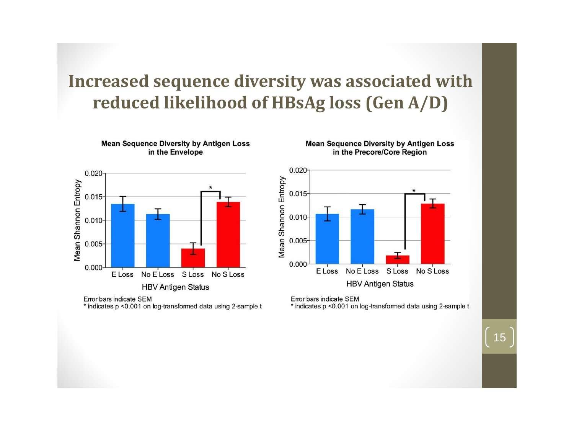#### **Increased sequence diversity was associated with reduced likelihood of HBsAg loss (Gen A/D)**



**Mean Sequence Diversity by Antigen Loss** 

in the Envelope

Error bars indicate SEM \* indicates p <0.001 on log-transformed data using 2-sample t **Mean Sequence Diversity by Antigen Loss** in the Precore/Core Region



Error bars indicate SEM

\* indicates p < 0.001 on log-transformed data using 2-sample t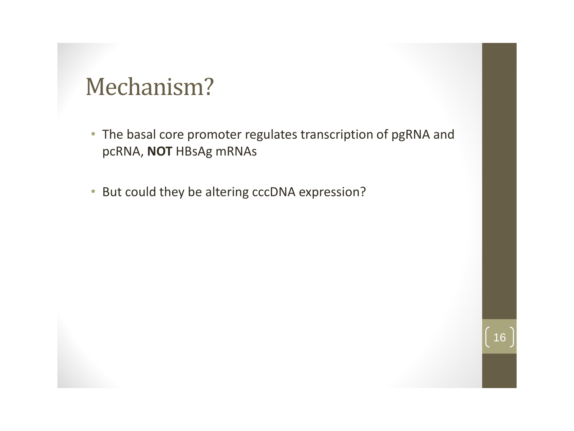## Mechanism?

• The basal core promoter regulates transcription of pgRNA and pcRNA, **NOT** HBsAg mRNAs

16

• But could they be altering cccDNA expression?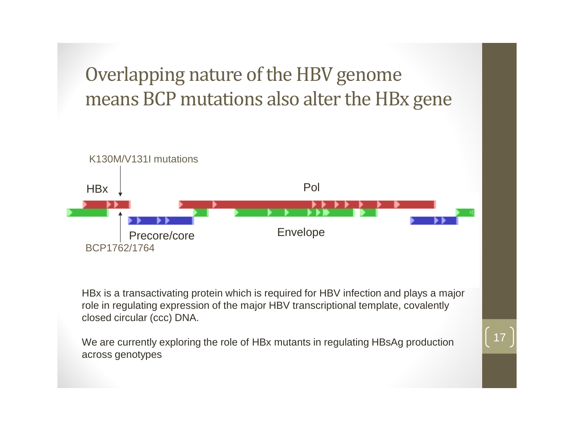Overlapping nature of the HBV genome means BCP mutations also alter the HBx gene



HBx is a transactivating protein which is required for HBV infection and plays a major role in regulating expression of the major HBV transcriptional template, covalently closed circular (ccc) DNA.

17

We are currently exploring the role of HBx mutants in regulating HBsAg production across genotypes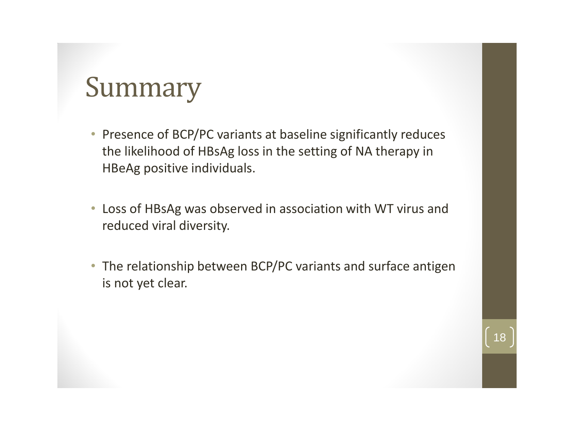# Summary

- Presence of BCP/PC variants at baseline significantly reduces the likelihood of HBsAg loss in the setting of NA therapy in HBeAg positive individuals.
- Loss of HBsAg was observed in association with WT virus and reduced viral diversity.
- The relationship between BCP/PC variants and surface antigen is not yet clear.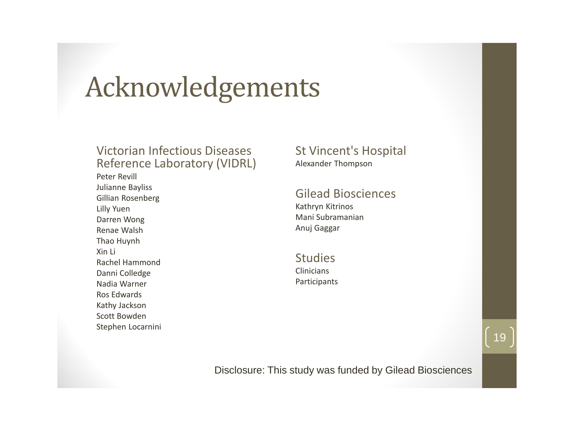# Acknowledgements

#### Victorian Infectious Diseases Reference Laboratory (VIDRL)

Peter Revill Julianne Bayliss Gillian Rosenberg Lilly Yuen Darren Wong Renae Walsh Thao Huynh Xin Li Rachel Hammond Danni Colledge Nadia Warner Ros Edwards Kathy Jackson Scott Bowden Stephen Locarnini

#### St Vincent's Hospital Alexander Thompson

#### Gilead Biosciences

Kathryn Kitrinos Mani Subramanian Anuj Gaggar

**Studies** Clinicians Participants

Disclosure: This study was funded by Gilead Biosciences